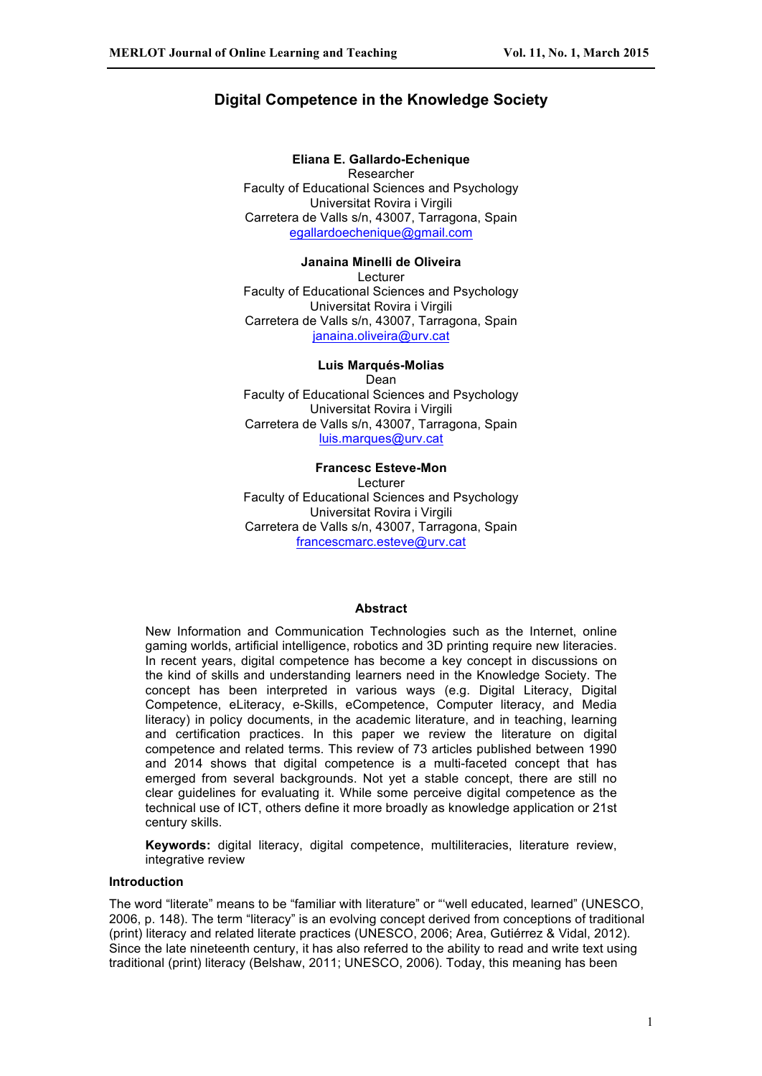# **Digital Competence in the Knowledge Society**

# **Eliana E. Gallardo-Echenique**

Researcher Faculty of Educational Sciences and Psychology Universitat Rovira i Virgili Carretera de Valls s/n, 43007, Tarragona, Spain egallardoechenique@gmail.com

## **Janaina Minelli de Oliveira**

Lecturer Faculty of Educational Sciences and Psychology Universitat Rovira i Virgili Carretera de Valls s/n, 43007, Tarragona, Spain janaina.oliveira@urv.cat

## **Luis Marqués-Molias**

Dean Faculty of Educational Sciences and Psychology Universitat Rovira i Virgili Carretera de Valls s/n, 43007, Tarragona, Spain luis.marques@urv.cat

# **Francesc Esteve-Mon**

Lecturer Faculty of Educational Sciences and Psychology Universitat Rovira i Virgili Carretera de Valls s/n, 43007, Tarragona, Spain francescmarc.esteve@urv.cat

## **Abstract**

New Information and Communication Technologies such as the Internet, online gaming worlds, artificial intelligence, robotics and 3D printing require new literacies. In recent years, digital competence has become a key concept in discussions on the kind of skills and understanding learners need in the Knowledge Society. The concept has been interpreted in various ways (e.g. Digital Literacy, Digital Competence, eLiteracy, e-Skills, eCompetence, Computer literacy, and Media literacy) in policy documents, in the academic literature, and in teaching, learning and certification practices. In this paper we review the literature on digital competence and related terms. This review of 73 articles published between 1990 and 2014 shows that digital competence is a multi-faceted concept that has emerged from several backgrounds. Not yet a stable concept, there are still no clear guidelines for evaluating it. While some perceive digital competence as the technical use of ICT, others define it more broadly as knowledge application or 21st century skills.

**Keywords:** digital literacy, digital competence, multiliteracies, literature review, integrative review

## **Introduction**

The word "literate" means to be "familiar with literature" or "'well educated, learned" (UNESCO, 2006, p. 148). The term "literacy" is an evolving concept derived from conceptions of traditional (print) literacy and related literate practices (UNESCO, 2006; Area, Gutiérrez & Vidal, 2012). Since the late nineteenth century, it has also referred to the ability to read and write text using traditional (print) literacy (Belshaw, 2011; UNESCO, 2006). Today, this meaning has been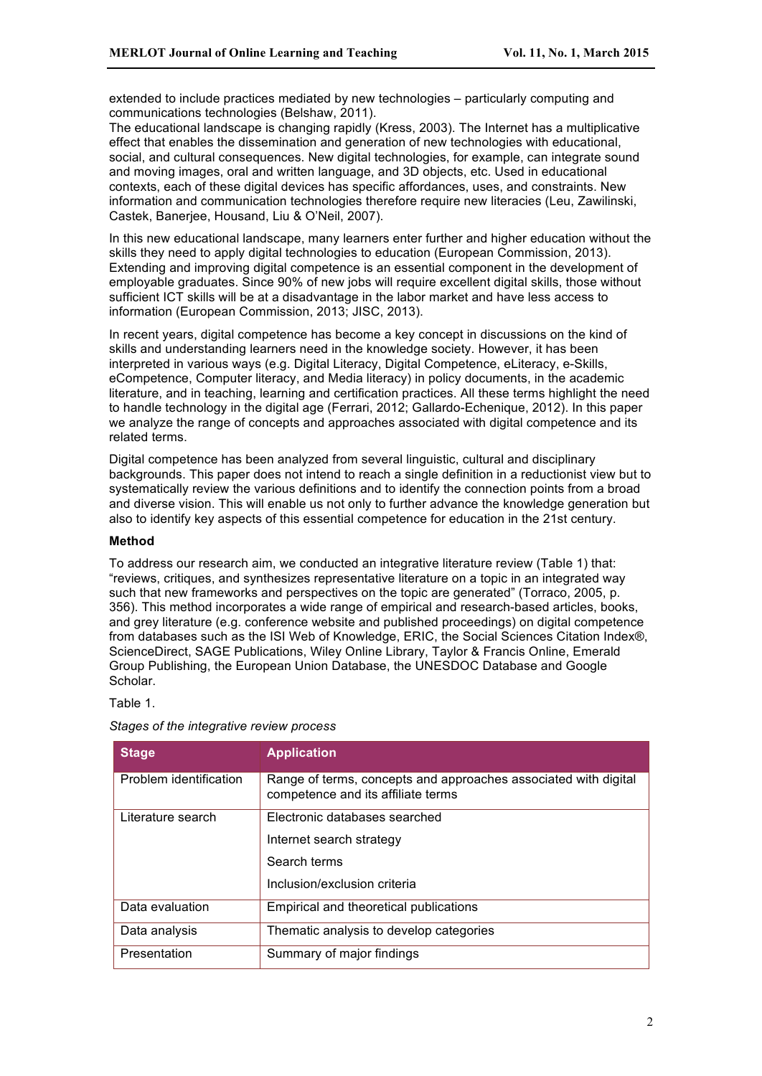extended to include practices mediated by new technologies – particularly computing and communications technologies (Belshaw, 2011).

The educational landscape is changing rapidly (Kress, 2003). The Internet has a multiplicative effect that enables the dissemination and generation of new technologies with educational, social, and cultural consequences. New digital technologies, for example, can integrate sound and moving images, oral and written language, and 3D objects, etc. Used in educational contexts, each of these digital devices has specific affordances, uses, and constraints. New information and communication technologies therefore require new literacies (Leu, Zawilinski, Castek, Banerjee, Housand, Liu & O'Neil, 2007).

In this new educational landscape, many learners enter further and higher education without the skills they need to apply digital technologies to education (European Commission, 2013). Extending and improving digital competence is an essential component in the development of employable graduates. Since 90% of new jobs will require excellent digital skills, those without sufficient ICT skills will be at a disadvantage in the labor market and have less access to information (European Commission, 2013; JISC, 2013).

In recent years, digital competence has become a key concept in discussions on the kind of skills and understanding learners need in the knowledge society. However, it has been interpreted in various ways (e.g. Digital Literacy, Digital Competence, eLiteracy, e-Skills, eCompetence, Computer literacy, and Media literacy) in policy documents, in the academic literature, and in teaching, learning and certification practices. All these terms highlight the need to handle technology in the digital age (Ferrari, 2012; Gallardo-Echenique, 2012). In this paper we analyze the range of concepts and approaches associated with digital competence and its related terms.

Digital competence has been analyzed from several linguistic, cultural and disciplinary backgrounds. This paper does not intend to reach a single definition in a reductionist view but to systematically review the various definitions and to identify the connection points from a broad and diverse vision. This will enable us not only to further advance the knowledge generation but also to identify key aspects of this essential competence for education in the 21st century.

## **Method**

To address our research aim, we conducted an integrative literature review (Table 1) that: "reviews, critiques, and synthesizes representative literature on a topic in an integrated way such that new frameworks and perspectives on the topic are generated" (Torraco, 2005, p. 356). This method incorporates a wide range of empirical and research-based articles, books, and grey literature (e.g. conference website and published proceedings) on digital competence from databases such as the ISI Web of Knowledge, ERIC, the Social Sciences Citation Index®, ScienceDirect, SAGE Publications, Wiley Online Library, Taylor & Francis Online, Emerald Group Publishing, the European Union Database, the UNESDOC Database and Google Scholar.

Table 1.

| <b>Stage</b>           | <b>Application</b>                                                                                    |
|------------------------|-------------------------------------------------------------------------------------------------------|
| Problem identification | Range of terms, concepts and approaches associated with digital<br>competence and its affiliate terms |
| Literature search      | Electronic databases searched                                                                         |
|                        | Internet search strategy                                                                              |
|                        | Search terms                                                                                          |
|                        | Inclusion/exclusion criteria                                                                          |
| Data evaluation        | Empirical and theoretical publications                                                                |
| Data analysis          | Thematic analysis to develop categories                                                               |
| Presentation           | Summary of major findings                                                                             |

## *Stages of the integrative review process*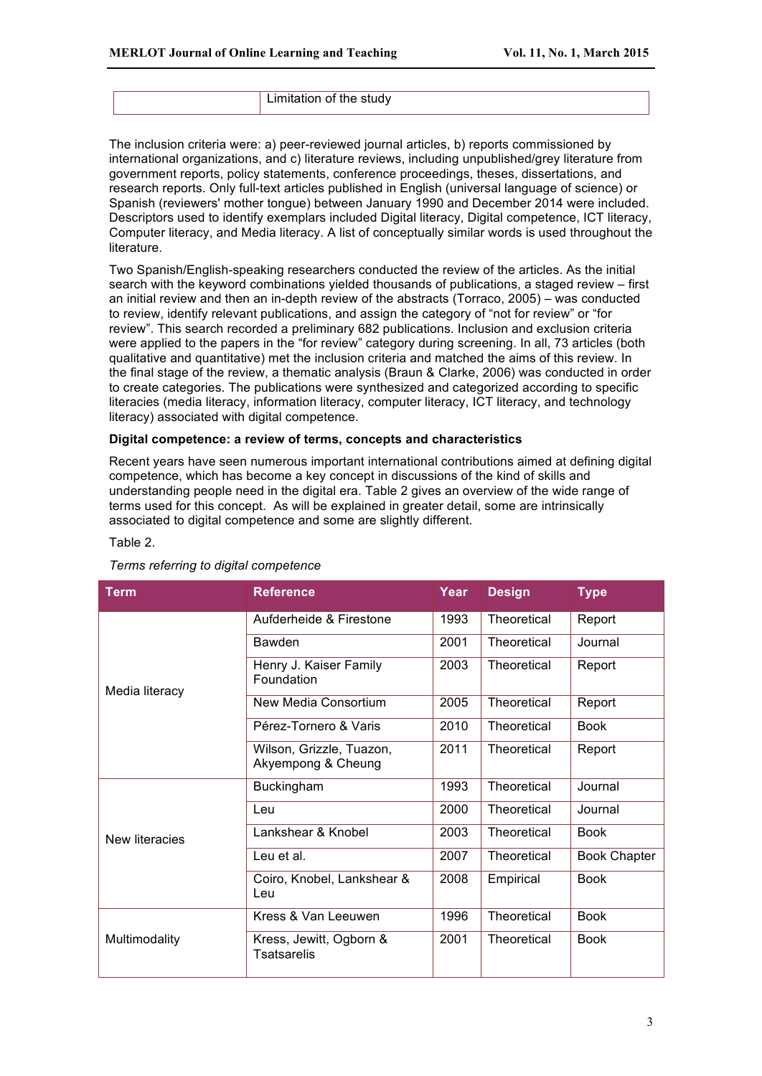| --<br>. <b>.</b> . |
|--------------------|
|                    |

The inclusion criteria were: a) peer-reviewed journal articles, b) reports commissioned by international organizations, and c) literature reviews, including unpublished/grey literature from government reports, policy statements, conference proceedings, theses, dissertations, and research reports. Only full-text articles published in English (universal language of science) or Spanish (reviewers' mother tongue) between January 1990 and December 2014 were included. Descriptors used to identify exemplars included Digital literacy, Digital competence, ICT literacy, Computer literacy, and Media literacy. A list of conceptually similar words is used throughout the literature.

Two Spanish/English-speaking researchers conducted the review of the articles. As the initial search with the keyword combinations yielded thousands of publications, a staged review – first an initial review and then an in-depth review of the abstracts (Torraco, 2005) – was conducted to review, identify relevant publications, and assign the category of "not for review" or "for review". This search recorded a preliminary 682 publications. Inclusion and exclusion criteria were applied to the papers in the "for review" category during screening. In all, 73 articles (both qualitative and quantitative) met the inclusion criteria and matched the aims of this review. In the final stage of the review, a thematic analysis (Braun & Clarke, 2006) was conducted in order to create categories. The publications were synthesized and categorized according to specific literacies (media literacy, information literacy, computer literacy, ICT literacy, and technology literacy) associated with digital competence.

## **Digital competence: a review of terms, concepts and characteristics**

Recent years have seen numerous important international contributions aimed at defining digital competence, which has become a key concept in discussions of the kind of skills and understanding people need in the digital era. Table 2 gives an overview of the wide range of terms used for this concept. As will be explained in greater detail, some are intrinsically associated to digital competence and some are slightly different.

## Table 2.

### *Terms referring to digital competence*

| <b>Term</b>    | <b>Reference</b>                               | Year | <b>Design</b> | <b>Type</b>         |
|----------------|------------------------------------------------|------|---------------|---------------------|
| Media literacy | Aufderheide & Firestone                        | 1993 | Theoretical   | Report              |
|                | Bawden                                         | 2001 | Theoretical   | Journal             |
|                | Henry J. Kaiser Family<br>Foundation           | 2003 | Theoretical   | Report              |
|                | New Media Consortium                           | 2005 | Theoretical   | Report              |
|                | Pérez-Tornero & Varis                          | 2010 | Theoretical   | <b>Book</b>         |
|                | Wilson, Grizzle, Tuazon,<br>Akyempong & Cheung | 2011 | Theoretical   | Report              |
| New literacies | <b>Buckingham</b>                              | 1993 | Theoretical   | Journal             |
|                | Leu                                            | 2000 | Theoretical   | Journal             |
|                | Lankshear & Knobel                             | 2003 | Theoretical   | <b>Book</b>         |
|                | Leu et al.                                     | 2007 | Theoretical   | <b>Book Chapter</b> |
|                | Coiro, Knobel, Lankshear &<br>Leu              | 2008 | Empirical     | <b>Book</b>         |
| Multimodality  | Kress & Van Leeuwen                            | 1996 | Theoretical   | <b>Book</b>         |
|                | Kress, Jewitt, Ogborn &<br>Tsatsarelis         | 2001 | Theoretical   | <b>Book</b>         |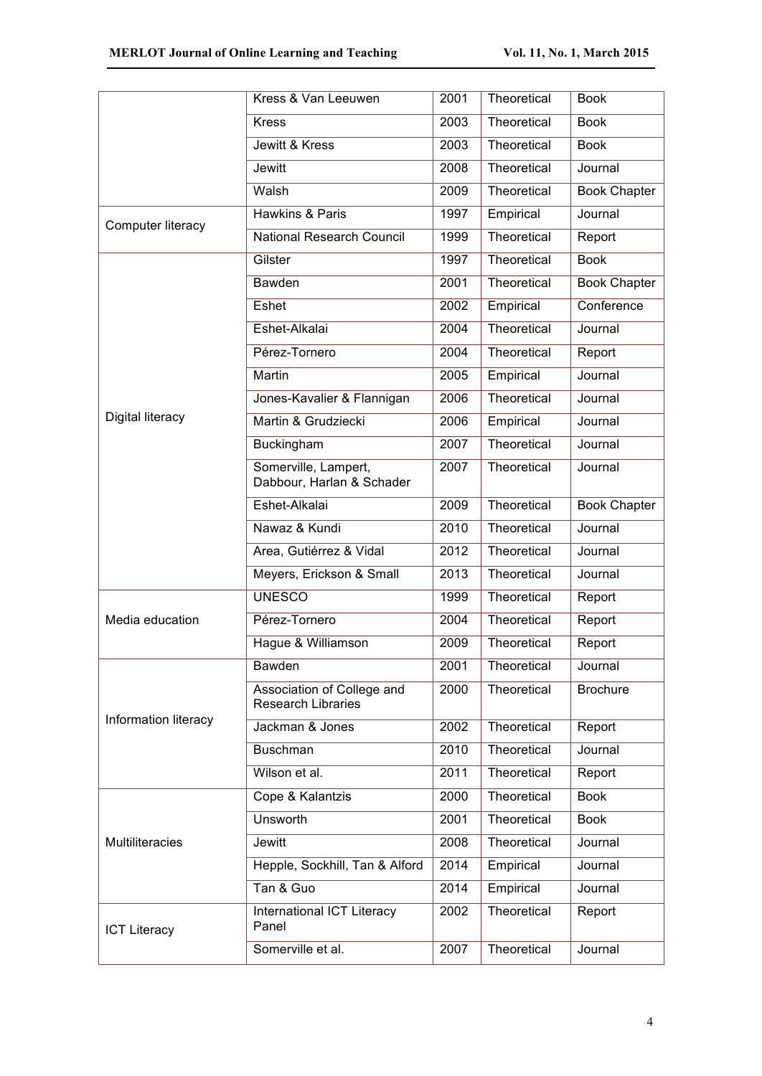|                      | Kress & Van Leeuwen                                     | 2001 | Theoretical | <b>Book</b>         |
|----------------------|---------------------------------------------------------|------|-------------|---------------------|
|                      | <b>Kress</b>                                            | 2003 | Theoretical | <b>Book</b>         |
|                      | Jewitt & Kress                                          | 2003 | Theoretical | <b>Book</b>         |
|                      | <b>Jewitt</b>                                           | 2008 | Theoretical | Journal             |
|                      | Walsh                                                   | 2009 | Theoretical | <b>Book Chapter</b> |
| Computer literacy    | Hawkins & Paris                                         | 1997 | Empirical   | Journal             |
|                      | <b>National Research Council</b>                        | 1999 | Theoretical | Report              |
|                      | Gilster                                                 | 1997 | Theoretical | <b>Book</b>         |
|                      | Bawden                                                  | 2001 | Theoretical | <b>Book Chapter</b> |
|                      | Eshet                                                   | 2002 | Empirical   | Conference          |
|                      | Eshet-Alkalai                                           | 2004 | Theoretical | Journal             |
|                      | Pérez-Tornero                                           | 2004 | Theoretical | Report              |
|                      | Martin                                                  | 2005 | Empirical   | Journal             |
|                      | Jones-Kavalier & Flannigan                              | 2006 | Theoretical | Journal             |
| Digital literacy     | Martin & Grudziecki                                     | 2006 | Empirical   | Journal             |
|                      | Buckingham                                              | 2007 | Theoretical | Journal             |
|                      | Somerville, Lampert,<br>Dabbour, Harlan & Schader       | 2007 | Theoretical | Journal             |
|                      | Eshet-Alkalai                                           | 2009 | Theoretical | <b>Book Chapter</b> |
|                      | Nawaz & Kundi                                           | 2010 | Theoretical | Journal             |
|                      | Area, Gutiérrez & Vidal                                 | 2012 | Theoretical | Journal             |
|                      | Meyers, Erickson & Small                                | 2013 | Theoretical | Journal             |
|                      | <b>UNESCO</b>                                           | 1999 | Theoretical | Report              |
| Media education      | Pérez-Tornero                                           | 2004 | Theoretical | Report              |
|                      | Hague & Williamson                                      | 2009 | Theoretical | Report              |
|                      | Bawden                                                  | 2001 | Theoretical | Journal             |
| Information literacy | Association of College and<br><b>Research Libraries</b> | 2000 | Theoretical | <b>Brochure</b>     |
|                      | Jackman & Jones                                         | 2002 | Theoretical | Report              |
|                      | <b>Buschman</b>                                         | 2010 | Theoretical | Journal             |
|                      | Wilson et al.                                           | 2011 | Theoretical | Report              |
| Multiliteracies      | Cope & Kalantzis                                        | 2000 | Theoretical | <b>Book</b>         |
|                      | <b>Unsworth</b>                                         | 2001 | Theoretical | <b>Book</b>         |
|                      | Jewitt                                                  | 2008 | Theoretical | Journal             |
|                      | Hepple, Sockhill, Tan & Alford                          | 2014 | Empirical   | Journal             |
|                      | Tan & Guo                                               | 2014 | Empirical   | Journal             |
| <b>ICT Literacy</b>  | International ICT Literacy<br>Panel                     | 2002 | Theoretical | Report              |
|                      | Somerville et al.                                       | 2007 | Theoretical | Journal             |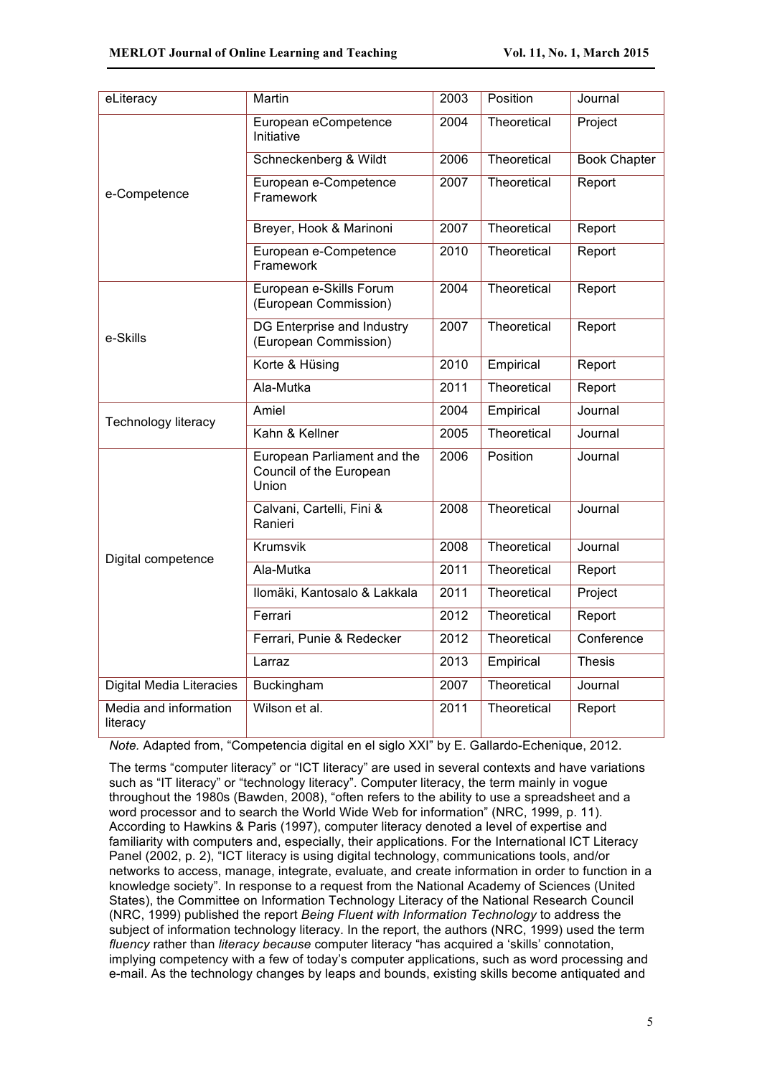| eLiteracy                         | Martin                                                          | 2003 | Position    | Journal             |
|-----------------------------------|-----------------------------------------------------------------|------|-------------|---------------------|
|                                   | European eCompetence<br>Initiative                              | 2004 | Theoretical | Project             |
|                                   | Schneckenberg & Wildt                                           | 2006 | Theoretical | <b>Book Chapter</b> |
| e-Competence                      | European e-Competence<br>Framework                              | 2007 | Theoretical | Report              |
|                                   | Breyer, Hook & Marinoni                                         | 2007 | Theoretical | Report              |
|                                   | European e-Competence<br>Framework                              | 2010 | Theoretical | Report              |
| e-Skills                          | European e-Skills Forum<br>(European Commission)                | 2004 | Theoretical | Report              |
|                                   | DG Enterprise and Industry<br>(European Commission)             | 2007 | Theoretical | Report              |
|                                   | Korte & Hüsing                                                  | 2010 | Empirical   | Report              |
|                                   | Ala-Mutka                                                       | 2011 | Theoretical | Report              |
| Technology literacy               | Amiel                                                           | 2004 | Empirical   | Journal             |
|                                   | Kahn & Kellner                                                  | 2005 | Theoretical | Journal             |
|                                   | European Parliament and the<br>Council of the European<br>Union | 2006 | Position    | Journal             |
|                                   | Calvani, Cartelli, Fini &<br>Ranieri                            | 2008 | Theoretical | Journal             |
| Digital competence                | Krumsvik                                                        | 2008 | Theoretical | Journal             |
|                                   | Ala-Mutka                                                       | 2011 | Theoretical | Report              |
|                                   | Ilomäki, Kantosalo & Lakkala                                    | 2011 | Theoretical | Project             |
|                                   | Ferrari                                                         | 2012 | Theoretical | Report              |
|                                   | Ferrari, Punie & Redecker                                       | 2012 | Theoretical | Conference          |
|                                   | Larraz                                                          | 2013 | Empirical   | <b>Thesis</b>       |
| <b>Digital Media Literacies</b>   | Buckingham                                                      | 2007 | Theoretical | Journal             |
| Media and information<br>literacy | Wilson et al.                                                   | 2011 | Theoretical | Report              |

*Note.* Adapted from, "Competencia digital en el siglo XXI" by E. Gallardo-Echenique, 2012.

The terms "computer literacy" or "ICT literacy" are used in several contexts and have variations such as "IT literacy" or "technology literacy". Computer literacy, the term mainly in vogue throughout the 1980s (Bawden, 2008), "often refers to the ability to use a spreadsheet and a word processor and to search the World Wide Web for information" (NRC, 1999, p. 11). According to Hawkins & Paris (1997), computer literacy denoted a level of expertise and familiarity with computers and, especially, their applications. For the International ICT Literacy Panel (2002, p. 2), "ICT literacy is using digital technology, communications tools, and/or networks to access, manage, integrate, evaluate, and create information in order to function in a knowledge society". In response to a request from the National Academy of Sciences (United States), the Committee on Information Technology Literacy of the National Research Council (NRC, 1999) published the report *Being Fluent with Information Technology* to address the subject of information technology literacy. In the report, the authors (NRC, 1999) used the term *fluency* rather than *literacy because* computer literacy "has acquired a 'skills' connotation, implying competency with a few of today's computer applications, such as word processing and e-mail. As the technology changes by leaps and bounds, existing skills become antiquated and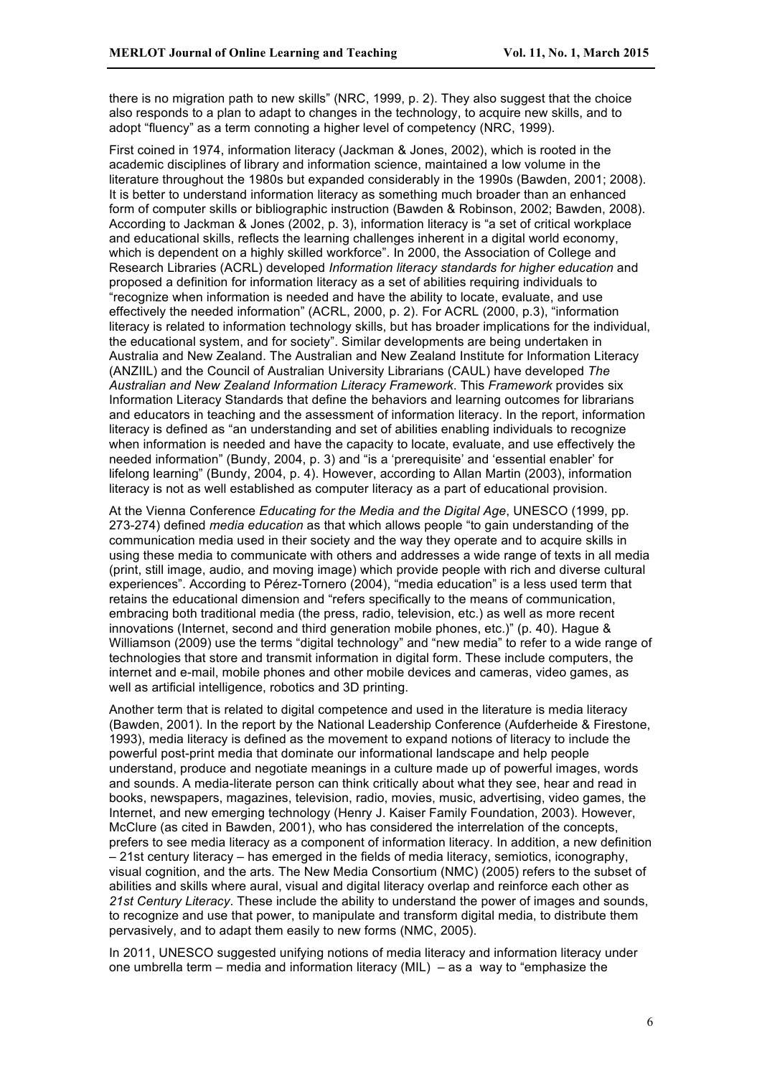there is no migration path to new skills" (NRC, 1999, p. 2). They also suggest that the choice also responds to a plan to adapt to changes in the technology, to acquire new skills, and to adopt "fluency" as a term connoting a higher level of competency (NRC, 1999).

First coined in 1974, information literacy (Jackman & Jones, 2002), which is rooted in the academic disciplines of library and information science, maintained a low volume in the literature throughout the 1980s but expanded considerably in the 1990s (Bawden, 2001; 2008). It is better to understand information literacy as something much broader than an enhanced form of computer skills or bibliographic instruction (Bawden & Robinson, 2002; Bawden, 2008). According to Jackman & Jones (2002, p. 3), information literacy is "a set of critical workplace and educational skills, reflects the learning challenges inherent in a digital world economy, which is dependent on a highly skilled workforce". In 2000, the Association of College and Research Libraries (ACRL) developed *Information literacy standards for higher education* and proposed a definition for information literacy as a set of abilities requiring individuals to "recognize when information is needed and have the ability to locate, evaluate, and use effectively the needed information" (ACRL, 2000, p. 2). For ACRL (2000, p.3), "information literacy is related to information technology skills, but has broader implications for the individual, the educational system, and for society". Similar developments are being undertaken in Australia and New Zealand. The Australian and New Zealand Institute for Information Literacy (ANZIIL) and the Council of Australian University Librarians (CAUL) have developed *The Australian and New Zealand Information Literacy Framework*. This *Framework* provides six Information Literacy Standards that define the behaviors and learning outcomes for librarians and educators in teaching and the assessment of information literacy. In the report, information literacy is defined as "an understanding and set of abilities enabling individuals to recognize when information is needed and have the capacity to locate, evaluate, and use effectively the needed information" (Bundy, 2004, p. 3) and "is a 'prerequisite' and 'essential enabler' for lifelong learning" (Bundy, 2004, p. 4). However, according to Allan Martin (2003), information literacy is not as well established as computer literacy as a part of educational provision.

At the Vienna Conference *Educating for the Media and the Digital Age*, UNESCO (1999, pp. 273-274) defined *media education* as that which allows people "to gain understanding of the communication media used in their society and the way they operate and to acquire skills in using these media to communicate with others and addresses a wide range of texts in all media (print, still image, audio, and moving image) which provide people with rich and diverse cultural experiences". According to Pérez-Tornero (2004), "media education" is a less used term that retains the educational dimension and "refers specifically to the means of communication, embracing both traditional media (the press, radio, television, etc.) as well as more recent innovations (Internet, second and third generation mobile phones, etc.)" (p. 40). Hague & Williamson (2009) use the terms "digital technology" and "new media" to refer to a wide range of technologies that store and transmit information in digital form. These include computers, the internet and e-mail, mobile phones and other mobile devices and cameras, video games, as well as artificial intelligence, robotics and 3D printing.

Another term that is related to digital competence and used in the literature is media literacy (Bawden, 2001). In the report by the National Leadership Conference (Aufderheide & Firestone, 1993), media literacy is defined as the movement to expand notions of literacy to include the powerful post-print media that dominate our informational landscape and help people understand, produce and negotiate meanings in a culture made up of powerful images, words and sounds. A media-literate person can think critically about what they see, hear and read in books, newspapers, magazines, television, radio, movies, music, advertising, video games, the Internet, and new emerging technology (Henry J. Kaiser Family Foundation, 2003). However, McClure (as cited in Bawden, 2001), who has considered the interrelation of the concepts, prefers to see media literacy as a component of information literacy. In addition, a new definition – 21st century literacy – has emerged in the fields of media literacy, semiotics, iconography, visual cognition, and the arts. The New Media Consortium (NMC) (2005) refers to the subset of abilities and skills where aural, visual and digital literacy overlap and reinforce each other as *21st Century Literacy*. These include the ability to understand the power of images and sounds, to recognize and use that power, to manipulate and transform digital media, to distribute them pervasively, and to adapt them easily to new forms (NMC, 2005).

In 2011, UNESCO suggested unifying notions of media literacy and information literacy under one umbrella term – media and information literacy (MIL) – as a way to "emphasize the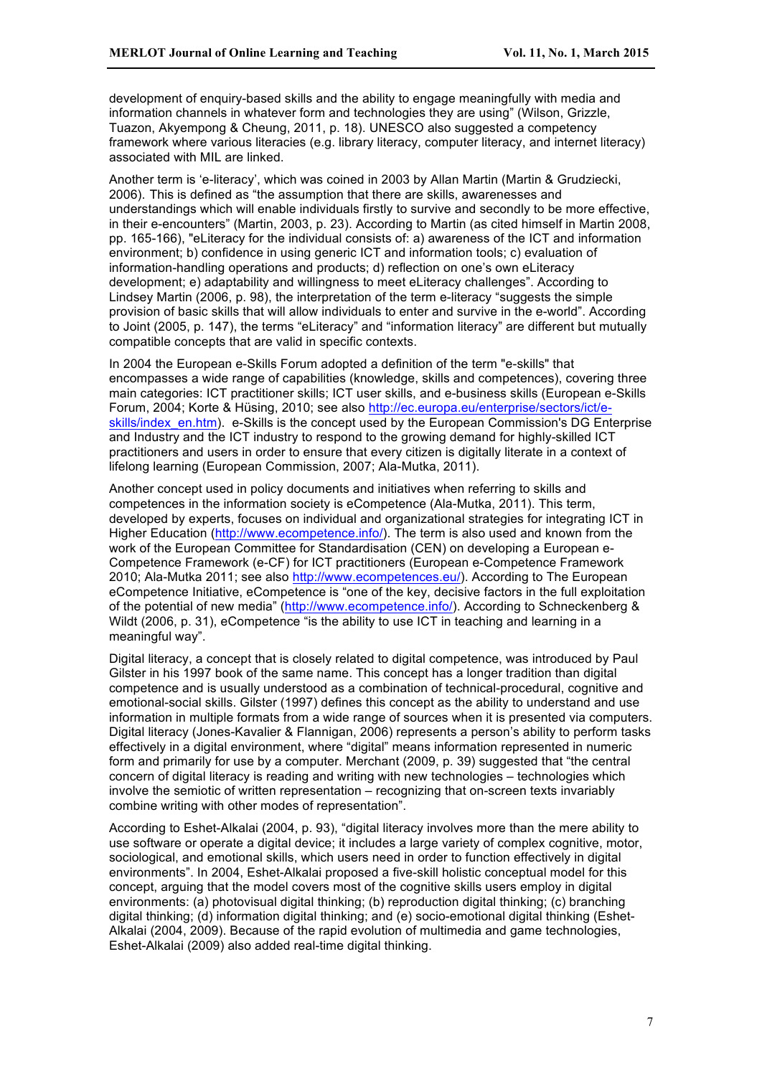development of enquiry-based skills and the ability to engage meaningfully with media and information channels in whatever form and technologies they are using" (Wilson, Grizzle, Tuazon, Akyempong & Cheung, 2011, p. 18). UNESCO also suggested a competency framework where various literacies (e.g. library literacy, computer literacy, and internet literacy) associated with MIL are linked.

Another term is 'e-literacy', which was coined in 2003 by Allan Martin (Martin & Grudziecki, 2006). This is defined as "the assumption that there are skills, awarenesses and understandings which will enable individuals firstly to survive and secondly to be more effective, in their e-encounters" (Martin, 2003, p. 23). According to Martin (as cited himself in Martin 2008, pp. 165-166), "eLiteracy for the individual consists of: a) awareness of the ICT and information environment; b) confidence in using generic ICT and information tools; c) evaluation of information-handling operations and products; d) reflection on one's own eLiteracy development; e) adaptability and willingness to meet eLiteracy challenges". According to Lindsey Martin (2006, p. 98), the interpretation of the term e-literacy "suggests the simple provision of basic skills that will allow individuals to enter and survive in the e-world". According to Joint (2005, p. 147), the terms "eLiteracy" and "information literacy" are different but mutually compatible concepts that are valid in specific contexts.

In 2004 the European e-Skills Forum adopted a definition of the term "e-skills" that encompasses a wide range of capabilities (knowledge, skills and competences), covering three main categories: ICT practitioner skills; ICT user skills, and e-business skills (European e-Skills Forum, 2004; Korte & Hüsing, 2010; see also http://ec.europa.eu/enterprise/sectors/ict/eskills/index\_en.htm). e-Skills is the concept used by the European Commission's DG Enterprise and Industry and the ICT industry to respond to the growing demand for highly-skilled ICT practitioners and users in order to ensure that every citizen is digitally literate in a context of lifelong learning (European Commission, 2007; Ala-Mutka, 2011).

Another concept used in policy documents and initiatives when referring to skills and competences in the information society is eCompetence (Ala-Mutka, 2011). This term, developed by experts, focuses on individual and organizational strategies for integrating ICT in Higher Education (http://www.ecompetence.info/). The term is also used and known from the work of the European Committee for Standardisation (CEN) on developing a European e-Competence Framework (e-CF) for ICT practitioners (European e-Competence Framework 2010; Ala-Mutka 2011; see also http://www.ecompetences.eu/). According to The European eCompetence Initiative, eCompetence is "one of the key, decisive factors in the full exploitation of the potential of new media" (http://www.ecompetence.info/). According to Schneckenberg & Wildt (2006, p. 31), eCompetence "is the ability to use ICT in teaching and learning in a meaningful way".

Digital literacy, a concept that is closely related to digital competence, was introduced by Paul Gilster in his 1997 book of the same name. This concept has a longer tradition than digital competence and is usually understood as a combination of technical-procedural, cognitive and emotional-social skills. Gilster (1997) defines this concept as the ability to understand and use information in multiple formats from a wide range of sources when it is presented via computers. Digital literacy (Jones-Kavalier & Flannigan, 2006) represents a person's ability to perform tasks effectively in a digital environment, where "digital" means information represented in numeric form and primarily for use by a computer. Merchant (2009, p. 39) suggested that "the central concern of digital literacy is reading and writing with new technologies – technologies which involve the semiotic of written representation – recognizing that on-screen texts invariably combine writing with other modes of representation".

According to Eshet-Alkalai (2004, p. 93), "digital literacy involves more than the mere ability to use software or operate a digital device; it includes a large variety of complex cognitive, motor, sociological, and emotional skills, which users need in order to function effectively in digital environments". In 2004, Eshet-Alkalai proposed a five-skill holistic conceptual model for this concept, arguing that the model covers most of the cognitive skills users employ in digital environments: (a) photovisual digital thinking; (b) reproduction digital thinking; (c) branching digital thinking; (d) information digital thinking; and (e) socio-emotional digital thinking (Eshet-Alkalai (2004, 2009). Because of the rapid evolution of multimedia and game technologies, Eshet-Alkalai (2009) also added real-time digital thinking.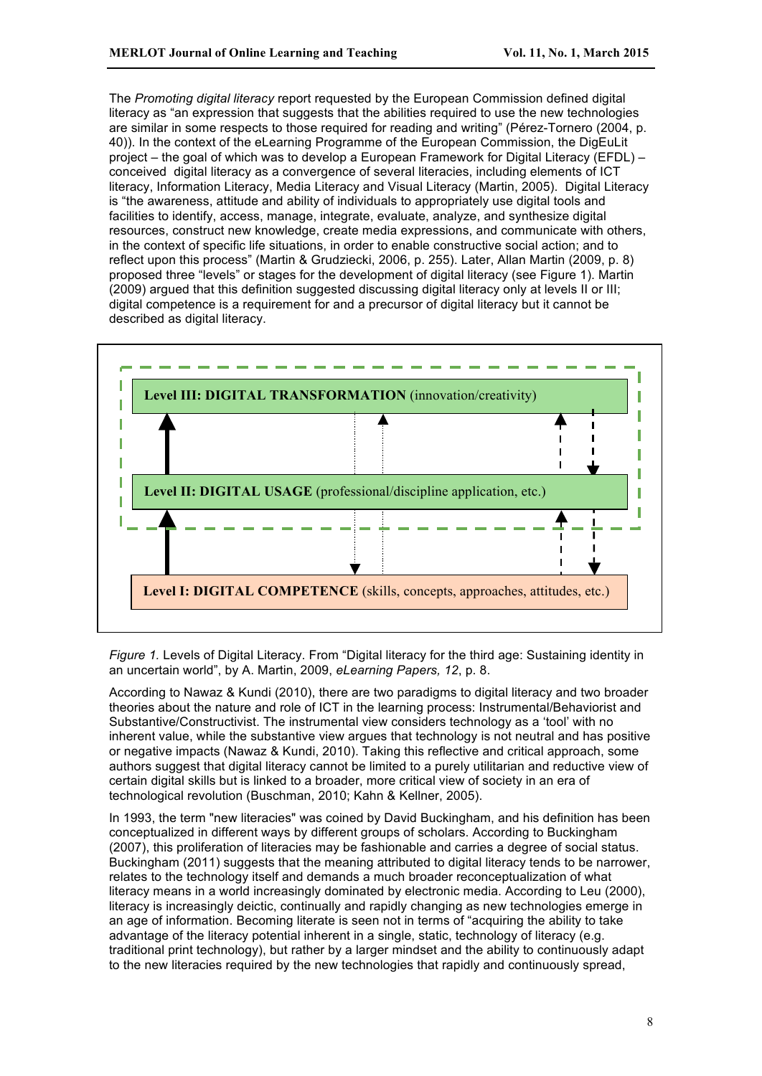The *Promoting digital literacy* report requested by the European Commission defined digital literacy as "an expression that suggests that the abilities required to use the new technologies are similar in some respects to those required for reading and writing" (Pérez-Tornero (2004, p. 40)). In the context of the eLearning Programme of the European Commission, the DigEuLit project – the goal of which was to develop a European Framework for Digital Literacy (EFDL) – conceived digital literacy as a convergence of several literacies, including elements of ICT literacy, Information Literacy, Media Literacy and Visual Literacy (Martin, 2005). Digital Literacy is "the awareness, attitude and ability of individuals to appropriately use digital tools and facilities to identify, access, manage, integrate, evaluate, analyze, and synthesize digital resources, construct new knowledge, create media expressions, and communicate with others, in the context of specific life situations, in order to enable constructive social action; and to reflect upon this process" (Martin & Grudziecki, 2006, p. 255). Later, Allan Martin (2009, p. 8) proposed three "levels" or stages for the development of digital literacy (see Figure 1). Martin (2009) argued that this definition suggested discussing digital literacy only at levels II or III; digital competence is a requirement for and a precursor of digital literacy but it cannot be described as digital literacy.



*Figure 1.* Levels of Digital Literacy. From "Digital literacy for the third age: Sustaining identity in an uncertain world", by A. Martin, 2009, *eLearning Papers, 12*, p. 8.

According to Nawaz & Kundi (2010), there are two paradigms to digital literacy and two broader theories about the nature and role of ICT in the learning process: Instrumental/Behaviorist and Substantive/Constructivist. The instrumental view considers technology as a 'tool' with no inherent value, while the substantive view argues that technology is not neutral and has positive or negative impacts (Nawaz & Kundi, 2010). Taking this reflective and critical approach, some authors suggest that digital literacy cannot be limited to a purely utilitarian and reductive view of certain digital skills but is linked to a broader, more critical view of society in an era of technological revolution (Buschman, 2010; Kahn & Kellner, 2005).

In 1993, the term "new literacies" was coined by David Buckingham, and his definition has been conceptualized in different ways by different groups of scholars. According to Buckingham (2007), this proliferation of literacies may be fashionable and carries a degree of social status. Buckingham (2011) suggests that the meaning attributed to digital literacy tends to be narrower, relates to the technology itself and demands a much broader reconceptualization of what literacy means in a world increasingly dominated by electronic media. According to Leu (2000), literacy is increasingly deictic, continually and rapidly changing as new technologies emerge in an age of information. Becoming literate is seen not in terms of "acquiring the ability to take advantage of the literacy potential inherent in a single, static, technology of literacy (e.g. traditional print technology), but rather by a larger mindset and the ability to continuously adapt to the new literacies required by the new technologies that rapidly and continuously spread,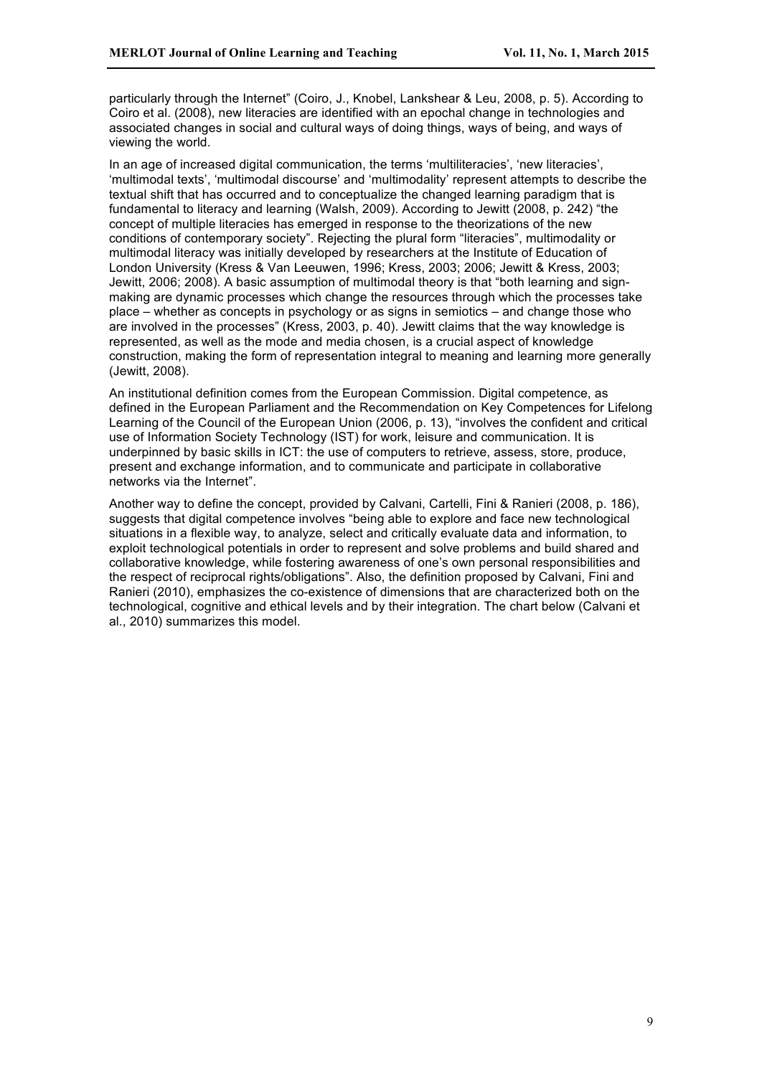particularly through the Internet" (Coiro, J., Knobel, Lankshear & Leu, 2008, p. 5). According to Coiro et al. (2008), new literacies are identified with an epochal change in technologies and associated changes in social and cultural ways of doing things, ways of being, and ways of viewing the world.

In an age of increased digital communication, the terms 'multiliteracies', 'new literacies', 'multimodal texts', 'multimodal discourse' and 'multimodality' represent attempts to describe the textual shift that has occurred and to conceptualize the changed learning paradigm that is fundamental to literacy and learning (Walsh, 2009). According to Jewitt (2008, p. 242) "the concept of multiple literacies has emerged in response to the theorizations of the new conditions of contemporary society". Rejecting the plural form "literacies", multimodality or multimodal literacy was initially developed by researchers at the Institute of Education of London University (Kress & Van Leeuwen, 1996; Kress, 2003; 2006; Jewitt & Kress, 2003; Jewitt, 2006; 2008). A basic assumption of multimodal theory is that "both learning and signmaking are dynamic processes which change the resources through which the processes take place – whether as concepts in psychology or as signs in semiotics – and change those who are involved in the processes" (Kress, 2003, p. 40). Jewitt claims that the way knowledge is represented, as well as the mode and media chosen, is a crucial aspect of knowledge construction, making the form of representation integral to meaning and learning more generally (Jewitt, 2008).

An institutional definition comes from the European Commission. Digital competence, as defined in the European Parliament and the Recommendation on Key Competences for Lifelong Learning of the Council of the European Union (2006, p. 13), "involves the confident and critical use of Information Society Technology (IST) for work, leisure and communication. It is underpinned by basic skills in ICT: the use of computers to retrieve, assess, store, produce, present and exchange information, and to communicate and participate in collaborative networks via the Internet".

Another way to define the concept, provided by Calvani, Cartelli, Fini & Ranieri (2008, p. 186), suggests that digital competence involves "being able to explore and face new technological situations in a flexible way, to analyze, select and critically evaluate data and information, to exploit technological potentials in order to represent and solve problems and build shared and collaborative knowledge, while fostering awareness of one's own personal responsibilities and the respect of reciprocal rights/obligations". Also, the definition proposed by Calvani, Fini and Ranieri (2010), emphasizes the co-existence of dimensions that are characterized both on the technological, cognitive and ethical levels and by their integration. The chart below (Calvani et al., 2010) summarizes this model.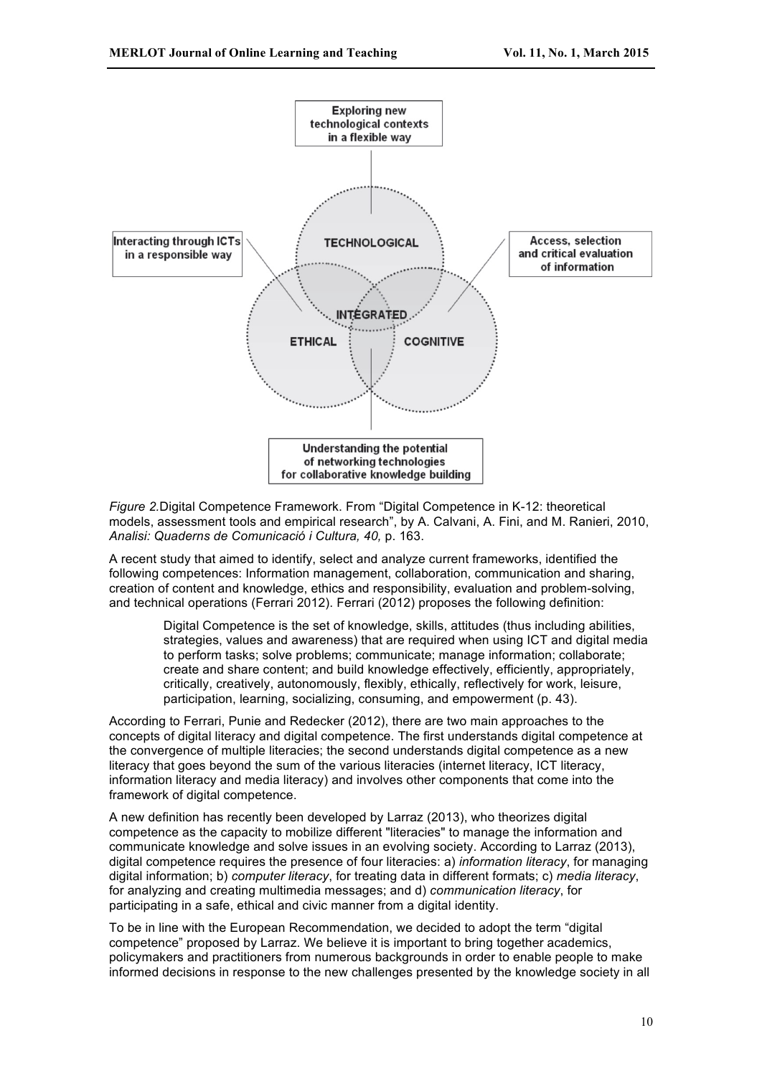

*Figure 2.*Digital Competence Framework. From "Digital Competence in K-12: theoretical models, assessment tools and empirical research", by A. Calvani, A. Fini, and M. Ranieri, 2010, *Analisi: Quaderns de Comunicació i Cultura, 40,* p. 163.

A recent study that aimed to identify, select and analyze current frameworks, identified the following competences: Information management, collaboration, communication and sharing, creation of content and knowledge, ethics and responsibility, evaluation and problem-solving, and technical operations (Ferrari 2012). Ferrari (2012) proposes the following definition:

> Digital Competence is the set of knowledge, skills, attitudes (thus including abilities, strategies, values and awareness) that are required when using ICT and digital media to perform tasks; solve problems; communicate; manage information; collaborate; create and share content; and build knowledge effectively, efficiently, appropriately, critically, creatively, autonomously, flexibly, ethically, reflectively for work, leisure, participation, learning, socializing, consuming, and empowerment (p. 43).

According to Ferrari, Punie and Redecker (2012), there are two main approaches to the concepts of digital literacy and digital competence. The first understands digital competence at the convergence of multiple literacies; the second understands digital competence as a new literacy that goes beyond the sum of the various literacies (internet literacy, ICT literacy, information literacy and media literacy) and involves other components that come into the framework of digital competence.

A new definition has recently been developed by Larraz (2013), who theorizes digital competence as the capacity to mobilize different "literacies" to manage the information and communicate knowledge and solve issues in an evolving society. According to Larraz (2013), digital competence requires the presence of four literacies: a) *information literacy*, for managing digital information; b) *computer literacy*, for treating data in different formats; c) *media literacy*, for analyzing and creating multimedia messages; and d) *communication literacy*, for participating in a safe, ethical and civic manner from a digital identity.

To be in line with the European Recommendation, we decided to adopt the term "digital competence" proposed by Larraz. We believe it is important to bring together academics, policymakers and practitioners from numerous backgrounds in order to enable people to make informed decisions in response to the new challenges presented by the knowledge society in all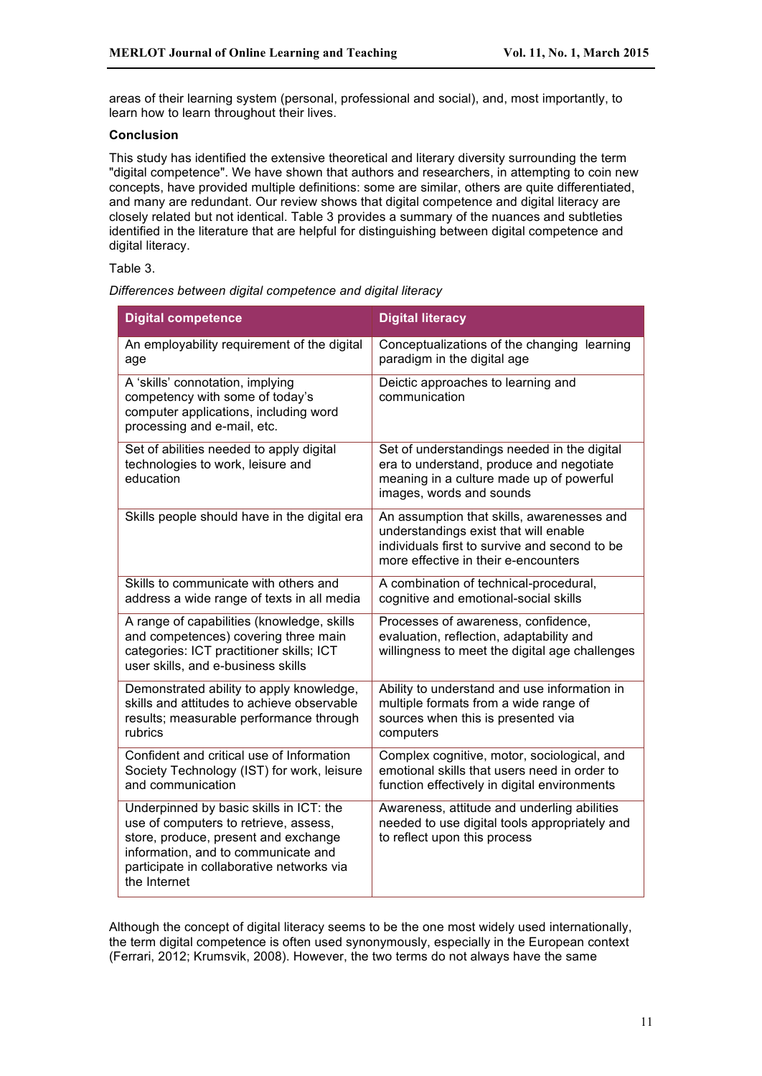areas of their learning system (personal, professional and social), and, most importantly, to learn how to learn throughout their lives.

## **Conclusion**

This study has identified the extensive theoretical and literary diversity surrounding the term "digital competence". We have shown that authors and researchers, in attempting to coin new concepts, have provided multiple definitions: some are similar, others are quite differentiated, and many are redundant. Our review shows that digital competence and digital literacy are closely related but not identical. Table 3 provides a summary of the nuances and subtleties identified in the literature that are helpful for distinguishing between digital competence and digital literacy.

Table 3.

*Differences between digital competence and digital literacy*

| <b>Digital competence</b>                                                                                                                                                                                                    | <b>Digital literacy</b>                                                                                                                                                      |
|------------------------------------------------------------------------------------------------------------------------------------------------------------------------------------------------------------------------------|------------------------------------------------------------------------------------------------------------------------------------------------------------------------------|
| An employability requirement of the digital<br>age                                                                                                                                                                           | Conceptualizations of the changing learning<br>paradigm in the digital age                                                                                                   |
| A 'skills' connotation, implying<br>competency with some of today's<br>computer applications, including word<br>processing and e-mail, etc.                                                                                  | Deictic approaches to learning and<br>communication                                                                                                                          |
| Set of abilities needed to apply digital<br>technologies to work, leisure and<br>education                                                                                                                                   | Set of understandings needed in the digital<br>era to understand, produce and negotiate<br>meaning in a culture made up of powerful<br>images, words and sounds              |
| Skills people should have in the digital era                                                                                                                                                                                 | An assumption that skills, awarenesses and<br>understandings exist that will enable<br>individuals first to survive and second to be<br>more effective in their e-encounters |
| Skills to communicate with others and<br>address a wide range of texts in all media                                                                                                                                          | A combination of technical-procedural,<br>cognitive and emotional-social skills                                                                                              |
| A range of capabilities (knowledge, skills<br>and competences) covering three main<br>categories: ICT practitioner skills; ICT<br>user skills, and e-business skills                                                         | Processes of awareness, confidence,<br>evaluation, reflection, adaptability and<br>willingness to meet the digital age challenges                                            |
| Demonstrated ability to apply knowledge,<br>skills and attitudes to achieve observable<br>results; measurable performance through<br>rubrics                                                                                 | Ability to understand and use information in<br>multiple formats from a wide range of<br>sources when this is presented via<br>computers                                     |
| Confident and critical use of Information<br>Society Technology (IST) for work, leisure<br>and communication                                                                                                                 | Complex cognitive, motor, sociological, and<br>emotional skills that users need in order to<br>function effectively in digital environments                                  |
| Underpinned by basic skills in ICT: the<br>use of computers to retrieve, assess,<br>store, produce, present and exchange<br>information, and to communicate and<br>participate in collaborative networks via<br>the Internet | Awareness, attitude and underling abilities<br>needed to use digital tools appropriately and<br>to reflect upon this process                                                 |

Although the concept of digital literacy seems to be the one most widely used internationally, the term digital competence is often used synonymously, especially in the European context (Ferrari, 2012; Krumsvik, 2008). However, the two terms do not always have the same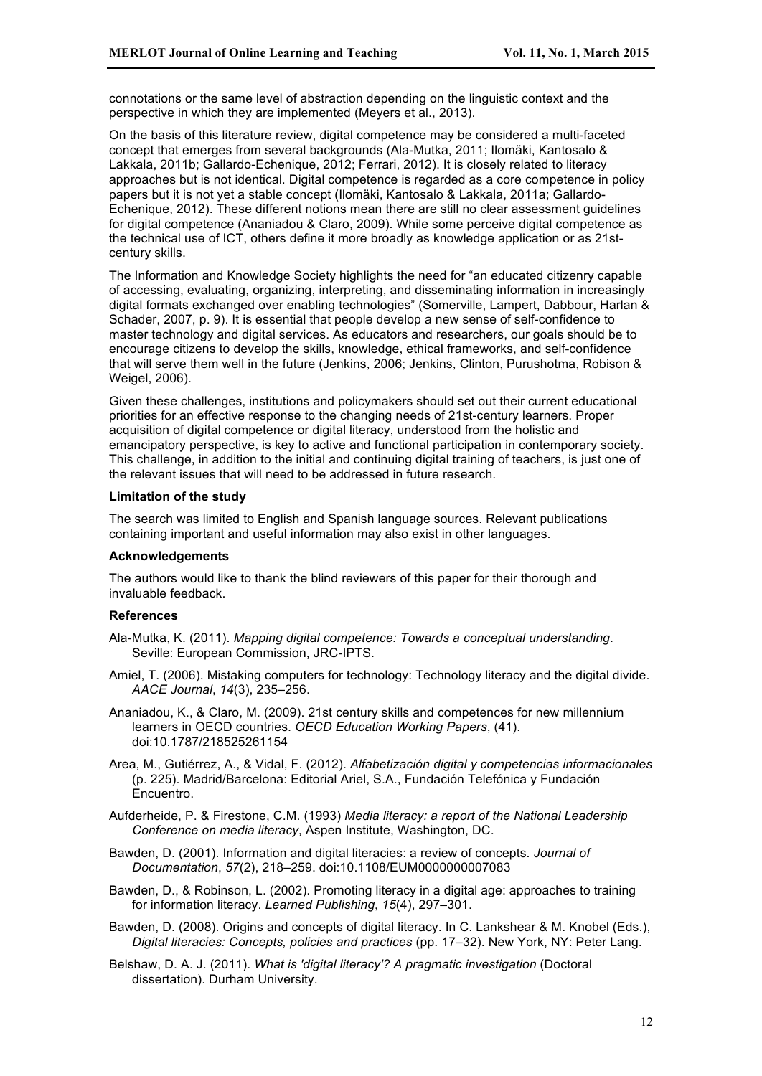connotations or the same level of abstraction depending on the linguistic context and the perspective in which they are implemented (Meyers et al., 2013).

On the basis of this literature review, digital competence may be considered a multi-faceted concept that emerges from several backgrounds (Ala-Mutka, 2011; Ilomäki, Kantosalo & Lakkala, 2011b; Gallardo-Echenique, 2012; Ferrari, 2012). It is closely related to literacy approaches but is not identical. Digital competence is regarded as a core competence in policy papers but it is not yet a stable concept (Ilomäki, Kantosalo & Lakkala, 2011a; Gallardo-Echenique, 2012). These different notions mean there are still no clear assessment guidelines for digital competence (Ananiadou & Claro, 2009). While some perceive digital competence as the technical use of ICT, others define it more broadly as knowledge application or as 21stcentury skills.

The Information and Knowledge Society highlights the need for "an educated citizenry capable of accessing, evaluating, organizing, interpreting, and disseminating information in increasingly digital formats exchanged over enabling technologies" (Somerville, Lampert, Dabbour, Harlan & Schader, 2007, p. 9). It is essential that people develop a new sense of self-confidence to master technology and digital services. As educators and researchers, our goals should be to encourage citizens to develop the skills, knowledge, ethical frameworks, and self-confidence that will serve them well in the future (Jenkins, 2006; Jenkins, Clinton, Purushotma, Robison & Weigel, 2006).

Given these challenges, institutions and policymakers should set out their current educational priorities for an effective response to the changing needs of 21st-century learners. Proper acquisition of digital competence or digital literacy, understood from the holistic and emancipatory perspective, is key to active and functional participation in contemporary society. This challenge, in addition to the initial and continuing digital training of teachers, is just one of the relevant issues that will need to be addressed in future research.

### **Limitation of the study**

The search was limited to English and Spanish language sources. Relevant publications containing important and useful information may also exist in other languages.

### **Acknowledgements**

The authors would like to thank the blind reviewers of this paper for their thorough and invaluable feedback.

## **References**

- Ala-Mutka, K. (2011). *Mapping digital competence: Towards a conceptual understanding*. Seville: European Commission, JRC-IPTS.
- Amiel, T. (2006). Mistaking computers for technology: Technology literacy and the digital divide. *AACE Journal*, *14*(3), 235–256.
- Ananiadou, K., & Claro, M. (2009). 21st century skills and competences for new millennium learners in OECD countries. *OECD Education Working Papers*, (41). doi:10.1787/218525261154
- Area, M., Gutiérrez, A., & Vidal, F. (2012). *Alfabetización digital y competencias informacionales* (p. 225). Madrid/Barcelona: Editorial Ariel, S.A., Fundación Telefónica y Fundación Encuentro.
- Aufderheide, P. & Firestone, C.M. (1993) *Media literacy: a report of the National Leadership Conference on media literacy*, Aspen Institute, Washington, DC.
- Bawden, D. (2001). Information and digital literacies: a review of concepts. *Journal of Documentation*, *57*(2), 218–259. doi:10.1108/EUM0000000007083
- Bawden, D., & Robinson, L. (2002). Promoting literacy in a digital age: approaches to training for information literacy. *Learned Publishing*, *15*(4), 297–301.
- Bawden, D. (2008). Origins and concepts of digital literacy. In C. Lankshear & M. Knobel (Eds.), *Digital literacies: Concepts, policies and practices* (pp. 17–32). New York, NY: Peter Lang.
- Belshaw, D. A. J. (2011). *What is 'digital literacy'? A pragmatic investigation* (Doctoral dissertation). Durham University.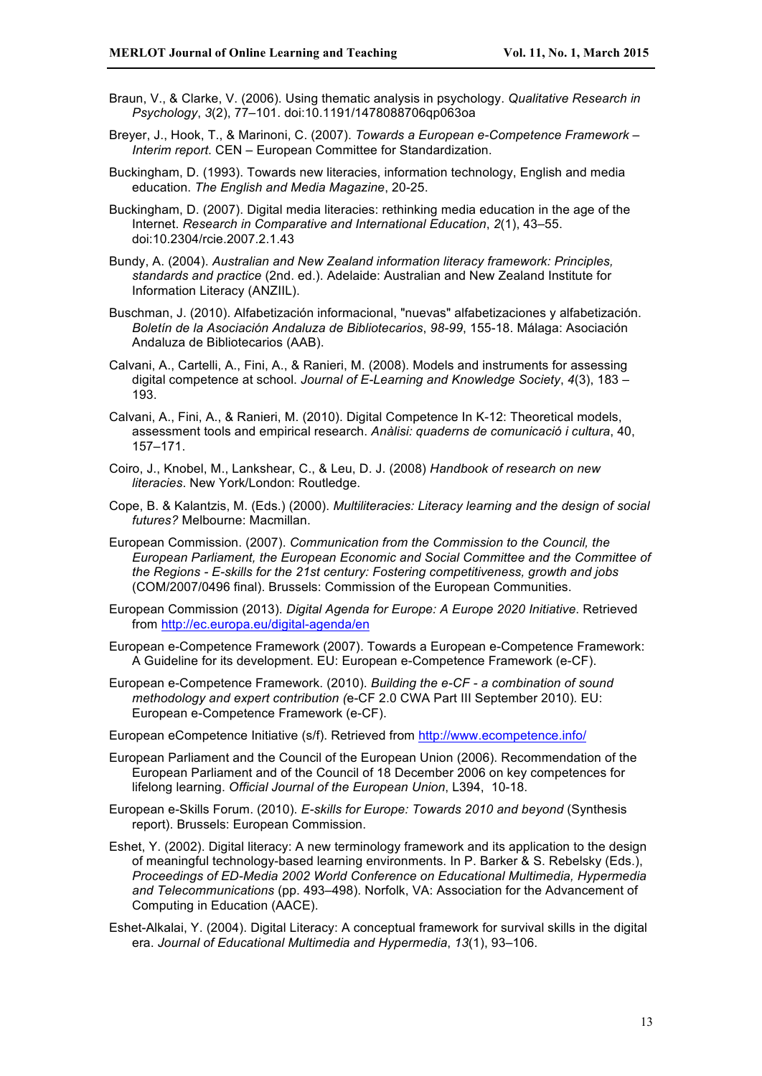- Braun, V., & Clarke, V. (2006). Using thematic analysis in psychology. *Qualitative Research in Psychology*, *3*(2), 77–101. doi:10.1191/1478088706qp063oa
- Breyer, J., Hook, T., & Marinoni, C. (2007). *Towards a European e-Competence Framework – Interim report*. CEN – European Committee for Standardization.
- Buckingham, D. (1993). Towards new literacies, information technology, English and media education. *The English and Media Magazine*, 20-25.
- Buckingham, D. (2007). Digital media literacies: rethinking media education in the age of the Internet. *Research in Comparative and International Education*, *2*(1), 43–55. doi:10.2304/rcie.2007.2.1.43
- Bundy, A. (2004). *Australian and New Zealand information literacy framework: Principles, standards and practice* (2nd. ed.). Adelaide: Australian and New Zealand Institute for Information Literacy (ANZIIL).
- Buschman, J. (2010). Alfabetización informacional, "nuevas" alfabetizaciones y alfabetización. *Boletín de la Asociación Andaluza de Bibliotecarios*, *98-99*, 155-18. Málaga: Asociación Andaluza de Bibliotecarios (AAB).
- Calvani, A., Cartelli, A., Fini, A., & Ranieri, M. (2008). Models and instruments for assessing digital competence at school. *Journal of E-Learning and Knowledge Society*, *4*(3), 183 – 193.
- Calvani, A., Fini, A., & Ranieri, M. (2010). Digital Competence In K-12: Theoretical models, assessment tools and empirical research. *Anàlisi: quaderns de comunicació i cultura*, 40, 157–171.
- Coiro, J., Knobel, M., Lankshear, C., & Leu, D. J. (2008) *Handbook of research on new literacies*. New York/London: Routledge.
- Cope, B. & Kalantzis, M. (Eds.) (2000). *Multiliteracies: Literacy learning and the design of social futures?* Melbourne: Macmillan.
- European Commission. (2007). *Communication from the Commission to the Council, the European Parliament, the European Economic and Social Committee and the Committee of the Regions - E-skills for the 21st century: Fostering competitiveness, growth and jobs*  (COM/2007/0496 final). Brussels: Commission of the European Communities.
- European Commission (2013). *Digital Agenda for Europe: A Europe 2020 Initiative*. Retrieved from http://ec.europa.eu/digital-agenda/en
- European e-Competence Framework (2007). Towards a European e-Competence Framework: A Guideline for its development. EU: European e-Competence Framework (e-CF).
- European e-Competence Framework. (2010). *Building the e-CF - a combination of sound methodology and expert contribution (*e-CF 2.0 CWA Part III September 2010)*.* EU: European e-Competence Framework (e-CF).
- European eCompetence Initiative (s/f). Retrieved from http://www.ecompetence.info/
- European Parliament and the Council of the European Union (2006). Recommendation of the European Parliament and of the Council of 18 December 2006 on key competences for lifelong learning. *Official Journal of the European Union*, L394, 10-18.
- European e-Skills Forum. (2010). *E-skills for Europe: Towards 2010 and beyond* (Synthesis report). Brussels: European Commission.
- Eshet, Y. (2002). Digital literacy: A new terminology framework and its application to the design of meaningful technology-based learning environments. In P. Barker & S. Rebelsky (Eds.), *Proceedings of ED-Media 2002 World Conference on Educational Multimedia, Hypermedia and Telecommunications* (pp. 493–498). Norfolk, VA: Association for the Advancement of Computing in Education (AACE).
- Eshet-Alkalai, Y. (2004). Digital Literacy: A conceptual framework for survival skills in the digital era. *Journal of Educational Multimedia and Hypermedia*, *13*(1), 93–106.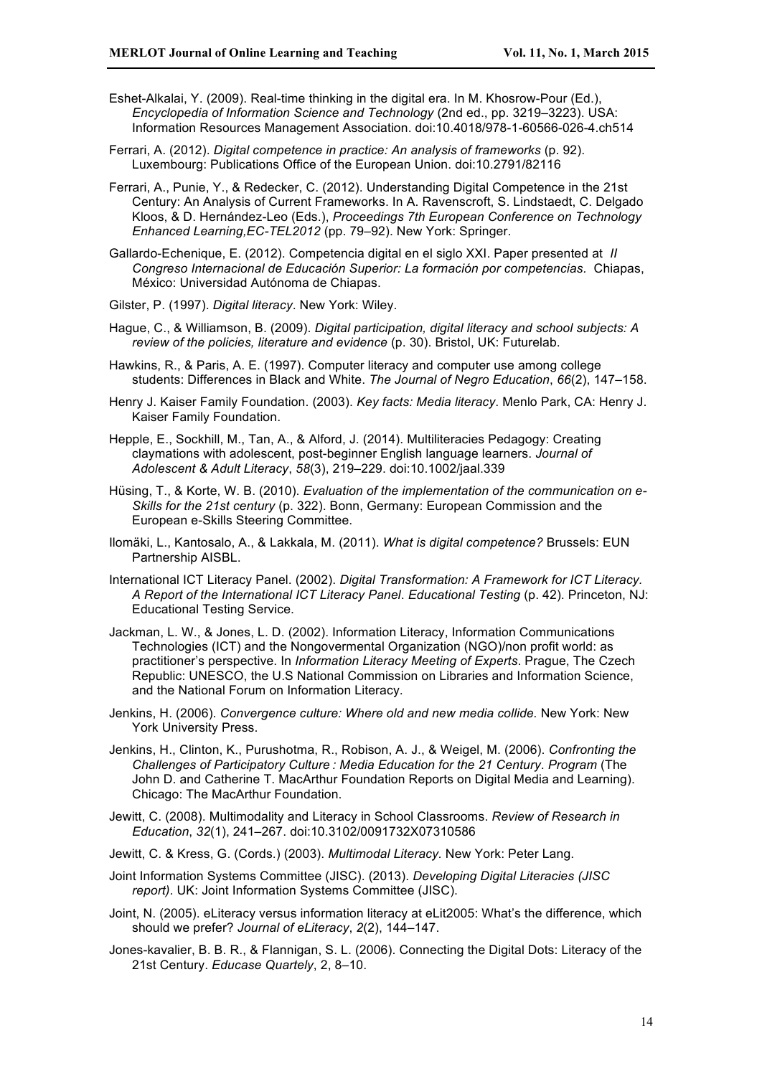- Eshet-Alkalai, Y. (2009). Real-time thinking in the digital era. In M. Khosrow-Pour (Ed.), *Encyclopedia of Information Science and Technology* (2nd ed., pp. 3219–3223). USA: Information Resources Management Association. doi:10.4018/978-1-60566-026-4.ch514
- Ferrari, A. (2012). *Digital competence in practice: An analysis of frameworks* (p. 92). Luxembourg: Publications Office of the European Union. doi:10.2791/82116
- Ferrari, A., Punie, Y., & Redecker, C. (2012). Understanding Digital Competence in the 21st Century: An Analysis of Current Frameworks. In A. Ravenscroft, S. Lindstaedt, C. Delgado Kloos, & D. Hernández-Leo (Eds.), *Proceedings 7th European Conference on Technology Enhanced Learning,EC-TEL2012* (pp. 79–92). New York: Springer.
- Gallardo-Echenique, E. (2012). Competencia digital en el siglo XXI. Paper presented at *II Congreso Internacional de Educación Superior: La formación por competencias.* Chiapas, México: Universidad Autónoma de Chiapas.
- Gilster, P. (1997). *Digital literacy*. New York: Wiley.
- Hague, C., & Williamson, B. (2009). *Digital participation, digital literacy and school subjects: A review of the policies, literature and evidence* (p. 30). Bristol, UK: Futurelab.
- Hawkins, R., & Paris, A. E. (1997). Computer literacy and computer use among college students: Differences in Black and White. *The Journal of Negro Education*, *66*(2), 147–158.
- Henry J. Kaiser Family Foundation. (2003). *Key facts: Media literacy*. Menlo Park, CA: Henry J. Kaiser Family Foundation.
- Hepple, E., Sockhill, M., Tan, A., & Alford, J. (2014). Multiliteracies Pedagogy: Creating claymations with adolescent, post-beginner English language learners. *Journal of Adolescent & Adult Literacy*, *58*(3), 219–229. doi:10.1002/jaal.339
- Hüsing, T., & Korte, W. B. (2010). *Evaluation of the implementation of the communication on e-Skills for the 21st century* (p. 322). Bonn, Germany: European Commission and the European e-Skills Steering Committee.
- Ilomäki, L., Kantosalo, A., & Lakkala, M. (2011). *What is digital competence?* Brussels: EUN Partnership AISBL.
- International ICT Literacy Panel. (2002). *Digital Transformation: A Framework for ICT Literacy. A Report of the International ICT Literacy Panel*. *Educational Testing* (p. 42). Princeton, NJ: Educational Testing Service.
- Jackman, L. W., & Jones, L. D. (2002). Information Literacy, Information Communications Technologies (ICT) and the Nongovermental Organization (NGO)/non profit world: as practitioner's perspective. In *Information Literacy Meeting of Experts*. Prague, The Czech Republic: UNESCO, the U.S National Commission on Libraries and Information Science, and the National Forum on Information Literacy.
- Jenkins, H. (2006). *Convergence culture: Where old and new media collide.* New York: New York University Press.
- Jenkins, H., Clinton, K., Purushotma, R., Robison, A. J., & Weigel, M. (2006). *Confronting the Challenges of Participatory Culture : Media Education for the 21 Century*. *Program* (The John D. and Catherine T. MacArthur Foundation Reports on Digital Media and Learning). Chicago: The MacArthur Foundation.
- Jewitt, C. (2008). Multimodality and Literacy in School Classrooms. *Review of Research in Education*, *32*(1), 241–267. doi:10.3102/0091732X07310586
- Jewitt, C. & Kress, G. (Cords.) (2003). *Multimodal Literacy.* New York: Peter Lang.
- Joint Information Systems Committee (JISC). (2013). *Developing Digital Literacies (JISC report)*. UK: Joint Information Systems Committee (JISC).
- Joint, N. (2005). eLiteracy versus information literacy at eLit2005: What's the difference, which should we prefer? *Journal of eLiteracy*, *2*(2), 144–147.
- Jones-kavalier, B. B. R., & Flannigan, S. L. (2006). Connecting the Digital Dots: Literacy of the 21st Century. *Educase Quartely*, 2, 8–10.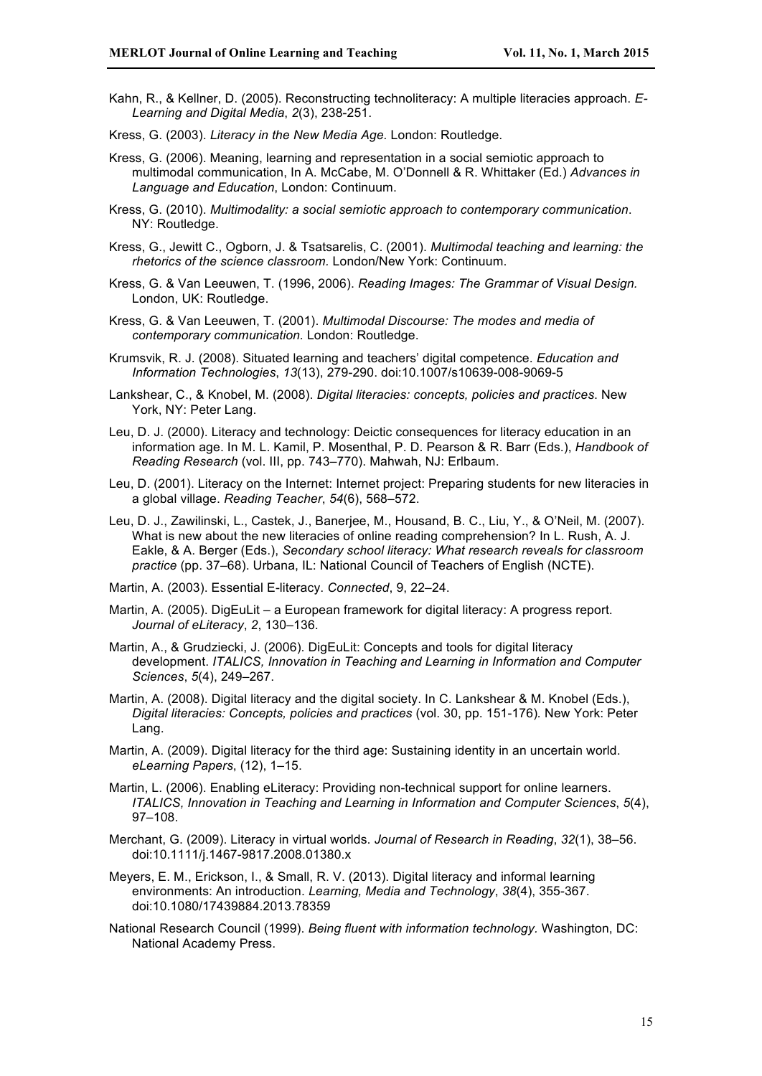- Kahn, R., & Kellner, D. (2005). Reconstructing technoliteracy: A multiple literacies approach. *E-Learning and Digital Media*, *2*(3), 238-251.
- Kress, G. (2003). *Literacy in the New Media Age.* London: Routledge.
- Kress, G. (2006). Meaning, learning and representation in a social semiotic approach to multimodal communication, In A. McCabe, M. O'Donnell & R. Whittaker (Ed.) *Advances in Language and Education*, London: Continuum.
- Kress, G. (2010). *Multimodality: a social semiotic approach to contemporary communication*. NY: Routledge.
- Kress, G., Jewitt C., Ogborn, J. & Tsatsarelis, C. (2001). *Multimodal teaching and learning: the rhetorics of the science classroom.* London/New York: Continuum.
- Kress, G. & Van Leeuwen, T. (1996, 2006). *Reading Images: The Grammar of Visual Design.* London, UK: Routledge.
- Kress, G. & Van Leeuwen, T. (2001). *Multimodal Discourse: The modes and media of contemporary communication.* London: Routledge.
- Krumsvik, R. J. (2008). Situated learning and teachers' digital competence. *Education and Information Technologies*, *13*(13), 279-290. doi:10.1007/s10639-008-9069-5
- Lankshear, C., & Knobel, M. (2008). *Digital literacies: concepts, policies and practices*. New York, NY: Peter Lang.
- Leu, D. J. (2000). Literacy and technology: Deictic consequences for literacy education in an information age. In M. L. Kamil, P. Mosenthal, P. D. Pearson & R. Barr (Eds.), *Handbook of Reading Research* (vol. III, pp. 743–770). Mahwah, NJ: Erlbaum.
- Leu, D. (2001). Literacy on the Internet: Internet project: Preparing students for new literacies in a global village. *Reading Teacher*, *54*(6), 568–572.
- Leu, D. J., Zawilinski, L., Castek, J., Banerjee, M., Housand, B. C., Liu, Y., & O'Neil, M. (2007). What is new about the new literacies of online reading comprehension? In L. Rush, A. J. Eakle, & A. Berger (Eds.), *Secondary school literacy: What research reveals for classroom practice* (pp. 37–68). Urbana, IL: National Council of Teachers of English (NCTE).
- Martin, A. (2003). Essential E-literacy. *Connected*, 9, 22–24.
- Martin, A. (2005). DigEuLit a European framework for digital literacy: A progress report. *Journal of eLiteracy*, *2*, 130–136.
- Martin, A., & Grudziecki, J. (2006). DigEuLit: Concepts and tools for digital literacy development. *ITALICS, Innovation in Teaching and Learning in Information and Computer Sciences*, *5*(4), 249–267.
- Martin, A. (2008). Digital literacy and the digital society. In C. Lankshear & M. Knobel (Eds.), *Digital literacies: Concepts, policies and practices* (vol. 30, pp. 151-176)*.* New York: Peter Lang.
- Martin, A. (2009). Digital literacy for the third age: Sustaining identity in an uncertain world. *eLearning Papers*, (12), 1–15.
- Martin, L. (2006). Enabling eLiteracy: Providing non-technical support for online learners. *ITALICS, Innovation in Teaching and Learning in Information and Computer Sciences*, *5*(4), 97–108.
- Merchant, G. (2009). Literacy in virtual worlds. *Journal of Research in Reading*, *32*(1), 38–56. doi:10.1111/j.1467-9817.2008.01380.x
- Meyers, E. M., Erickson, I., & Small, R. V. (2013). Digital literacy and informal learning environments: An introduction. *Learning, Media and Technology*, *38*(4), 355-367. doi:10.1080/17439884.2013.78359
- National Research Council (1999). *Being fluent with information technology.* Washington, DC: National Academy Press.